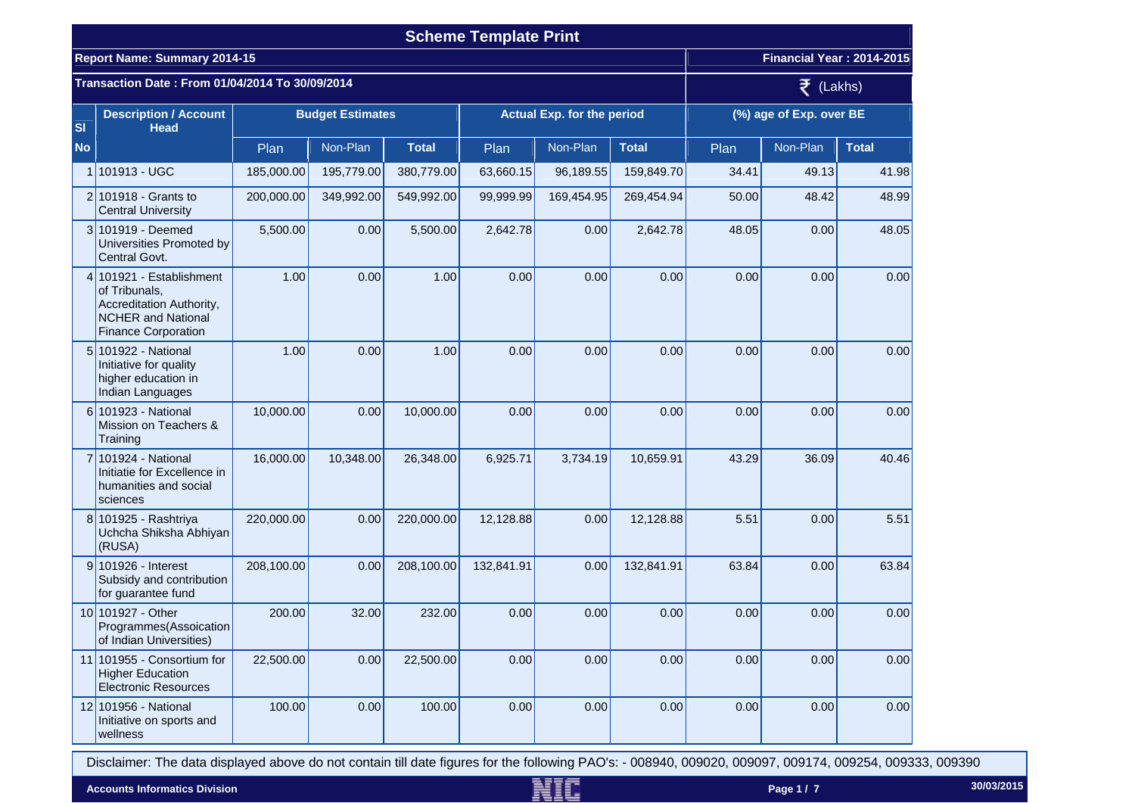|           | <b>Scheme Template Print</b>                                                                                                     |            |                         |              |            |                                   |              |       |                           |              |  |  |
|-----------|----------------------------------------------------------------------------------------------------------------------------------|------------|-------------------------|--------------|------------|-----------------------------------|--------------|-------|---------------------------|--------------|--|--|
|           | <b>Report Name: Summary 2014-15</b>                                                                                              |            |                         |              |            |                                   |              |       | Financial Year: 2014-2015 |              |  |  |
|           | Transaction Date: From 01/04/2014 To 30/09/2014                                                                                  |            | $\bar{z}$ (Lakhs)       |              |            |                                   |              |       |                           |              |  |  |
| <b>SI</b> | <b>Description / Account</b><br><b>Head</b>                                                                                      |            | <b>Budget Estimates</b> |              |            | <b>Actual Exp. for the period</b> |              |       | (%) age of Exp. over BE   |              |  |  |
| <b>No</b> |                                                                                                                                  | Plan       | Non-Plan                | <b>Total</b> | Plan       | Non-Plan                          | <b>Total</b> | Plan  | Non-Plan                  | <b>Total</b> |  |  |
|           | 1 101913 - UGC                                                                                                                   | 185,000.00 | 195,779.00              | 380,779.00   | 63,660.15  | 96,189.55                         | 159,849.70   | 34.41 | 49.13                     | 41.98        |  |  |
|           | $2 101918 -$ Grants to<br><b>Central University</b>                                                                              | 200,000.00 | 349,992.00              | 549,992.00   | 99,999.99  | 169,454.95                        | 269,454.94   | 50.00 | 48.42                     | 48.99        |  |  |
|           | 3 101919 - Deemed<br>Universities Promoted by<br>Central Govt.                                                                   | 5,500.00   | 0.00                    | 5,500.00     | 2,642.78   | 0.00                              | 2,642.78     | 48.05 | 0.00                      | 48.05        |  |  |
|           | 4 101921 - Establishment<br>of Tribunals,<br>Accreditation Authority,<br><b>NCHER and National</b><br><b>Finance Corporation</b> | 1.00       | 0.00                    | 1.00         | 0.00       | 0.00                              | 0.00         | 0.00  | 0.00                      | 0.00         |  |  |
|           | 5 101922 - National<br>Initiative for quality<br>higher education in<br>Indian Languages                                         | 1.00       | 0.00                    | 1.00         | 0.00       | 0.00                              | 0.00         | 0.00  | 0.00                      | 0.00         |  |  |
|           | 6 101923 - National<br>Mission on Teachers &<br>Training                                                                         | 10,000.00  | 0.00                    | 10,000.00    | 0.00       | 0.00                              | 0.00         | 0.00  | 0.00                      | 0.00         |  |  |
|           | 7 101924 - National<br>Initiatie for Excellence in<br>humanities and social<br>sciences                                          | 16,000.00  | 10,348.00               | 26,348.00    | 6,925.71   | 3,734.19                          | 10,659.91    | 43.29 | 36.09                     | 40.46        |  |  |
|           | 8 101925 - Rashtriya<br>Uchcha Shiksha Abhiyan<br>(RUSA)                                                                         | 220,000.00 | 0.00                    | 220,000.00   | 12,128.88  | 0.00                              | 12,128.88    | 5.51  | 0.00                      | 5.51         |  |  |
|           | 9 101926 - Interest<br>Subsidy and contribution<br>for guarantee fund                                                            | 208,100.00 | 0.00                    | 208,100.00   | 132,841.91 | 0.00                              | 132,841.91   | 63.84 | 0.00                      | 63.84        |  |  |
|           | 10 101927 - Other<br>Programmes (Assoication<br>of Indian Universities)                                                          | 200.00     | 32.00                   | 232.00       | 0.00       | 0.00                              | 0.00         | 0.00  | 0.00                      | 0.00         |  |  |
|           | 11 101955 - Consortium for<br><b>Higher Education</b><br><b>Electronic Resources</b>                                             | 22,500.00  | 0.00                    | 22,500.00    | 0.00       | 0.00                              | 0.00         | 0.00  | 0.00                      | 0.00         |  |  |
|           | 12 101956 - National<br>Initiative on sports and<br>wellness                                                                     | 100.00     | 0.00                    | 100.00       | 0.00       | 0.00                              | 0.00         | 0.00  | 0.00                      | 0.00         |  |  |

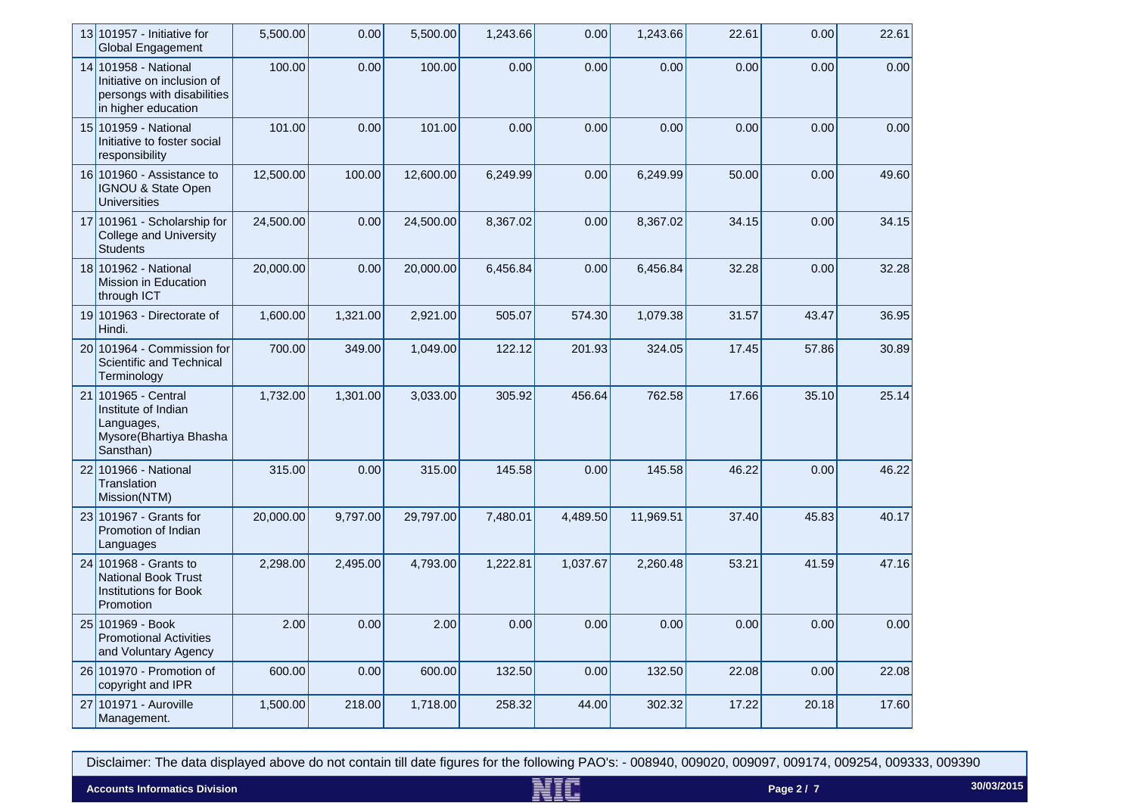| 13 101957 - Initiative for<br><b>Global Engagement</b>                                                  | 5,500.00  | 0.00     | 5,500.00  | 1,243.66 | 0.00     | 1,243.66  | 22.61 | 0.00  | 22.61 |
|---------------------------------------------------------------------------------------------------------|-----------|----------|-----------|----------|----------|-----------|-------|-------|-------|
| 14 101958 - National<br>Initiative on inclusion of<br>persongs with disabilities<br>in higher education | 100.00    | 0.00     | 100.00    | 0.00     | 0.00     | 0.00      | 0.00  | 0.00  | 0.00  |
| 15 101959 - National<br>Initiative to foster social<br>responsibility                                   | 101.00    | 0.00     | 101.00    | 0.00     | 0.00     | 0.00      | 0.00  | 0.00  | 0.00  |
| 16 101960 - Assistance to<br><b>IGNOU &amp; State Open</b><br><b>Universities</b>                       | 12,500.00 | 100.00   | 12,600.00 | 6,249.99 | 0.00     | 6,249.99  | 50.00 | 0.00  | 49.60 |
| 17 101961 - Scholarship for<br><b>College and University</b><br><b>Students</b>                         | 24,500.00 | 0.00     | 24,500.00 | 8,367.02 | 0.00     | 8,367.02  | 34.15 | 0.00  | 34.15 |
| 18 101962 - National<br>Mission in Education<br>through ICT                                             | 20,000.00 | 0.00     | 20,000.00 | 6,456.84 | 0.00     | 6,456.84  | 32.28 | 0.00  | 32.28 |
| 19 101963 - Directorate of<br>Hindi.                                                                    | 1,600.00  | 1,321.00 | 2,921.00  | 505.07   | 574.30   | 1,079.38  | 31.57 | 43.47 | 36.95 |
| $20 101964 -$ Commission for<br>Scientific and Technical<br>Terminology                                 | 700.00    | 349.00   | 1,049.00  | 122.12   | 201.93   | 324.05    | 17.45 | 57.86 | 30.89 |
| 21 101965 - Central<br>Institute of Indian<br>Languages,<br>Mysore(Bhartiya Bhasha<br>Sansthan)         | 1,732.00  | 1,301.00 | 3,033.00  | 305.92   | 456.64   | 762.58    | 17.66 | 35.10 | 25.14 |
| 22 101966 - National<br>Translation<br>Mission(NTM)                                                     | 315.00    | 0.00     | 315.00    | 145.58   | 0.00     | 145.58    | 46.22 | 0.00  | 46.22 |
| 23 101967 - Grants for<br>Promotion of Indian<br>Languages                                              | 20,000.00 | 9,797.00 | 29,797.00 | 7,480.01 | 4,489.50 | 11,969.51 | 37.40 | 45.83 | 40.17 |
| 24 101968 - Grants to<br><b>National Book Trust</b><br><b>Institutions for Book</b><br>Promotion        | 2,298.00  | 2,495.00 | 4,793.00  | 1,222.81 | 1,037.67 | 2,260.48  | 53.21 | 41.59 | 47.16 |
| 25 101969 - Book<br><b>Promotional Activities</b><br>and Voluntary Agency                               | 2.00      | 0.00     | 2.00      | 0.00     | 0.00     | 0.00      | 0.00  | 0.00  | 0.00  |
| 26 101970 - Promotion of<br>copyright and IPR                                                           | 600.00    | 0.00     | 600.00    | 132.50   | 0.00     | 132.50    | 22.08 | 0.00  | 22.08 |
| 27 101971 - Auroville<br>Management.                                                                    | 1,500.00  | 218.00   | 1,718.00  | 258.32   | 44.00    | 302.32    | 17.22 | 20.18 | 17.60 |

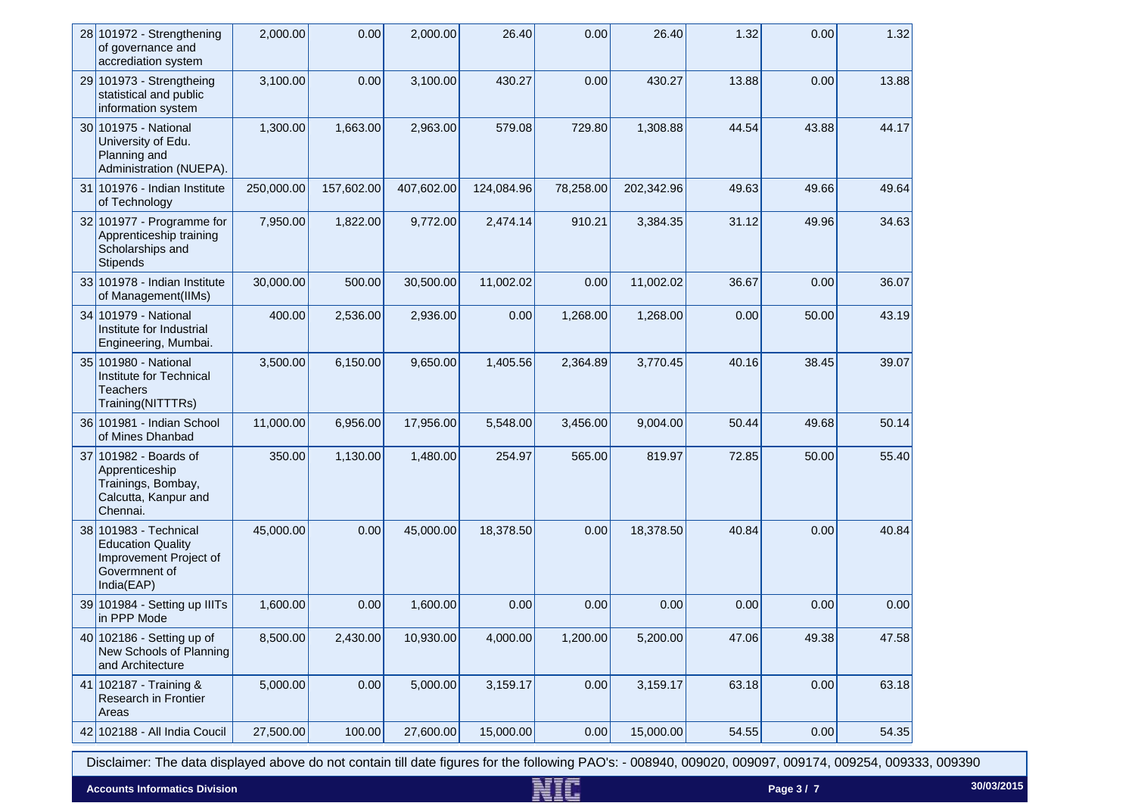| $28 101972 -$ Strengthening<br>of governance and<br>accrediation system                                    | 2,000.00   | 0.00       | 2,000.00   | 26.40      | 0.00      | 26.40      | 1.32  | 0.00  | 1.32  |
|------------------------------------------------------------------------------------------------------------|------------|------------|------------|------------|-----------|------------|-------|-------|-------|
| 29 101973 - Strengtheing<br>statistical and public<br>information system                                   | 3,100.00   | 0.00       | 3,100.00   | 430.27     | 0.00      | 430.27     | 13.88 | 0.00  | 13.88 |
| 30 101975 - National<br>University of Edu.<br>Planning and<br>Administration (NUEPA).                      | 1,300.00   | 1,663.00   | 2,963.00   | 579.08     | 729.80    | 1,308.88   | 44.54 | 43.88 | 44.17 |
| 31 101976 - Indian Institute<br>of Technology                                                              | 250,000.00 | 157,602.00 | 407,602.00 | 124,084.96 | 78,258.00 | 202,342.96 | 49.63 | 49.66 | 49.64 |
| 32 101977 - Programme for<br>Apprenticeship training<br>Scholarships and<br><b>Stipends</b>                | 7,950.00   | 1,822.00   | 9,772.00   | 2,474.14   | 910.21    | 3,384.35   | 31.12 | 49.96 | 34.63 |
| 33 101978 - Indian Institute<br>of Management(IIMs)                                                        | 30,000.00  | 500.00     | 30,500.00  | 11,002.02  | 0.00      | 11,002.02  | 36.67 | 0.00  | 36.07 |
| 34 101979 - National<br>Institute for Industrial<br>Engineering, Mumbai.                                   | 400.00     | 2,536.00   | 2,936.00   | 0.00       | 1,268.00  | 1,268.00   | 0.00  | 50.00 | 43.19 |
| 35 101980 - National<br>Institute for Technical<br>Teachers<br>Training(NITTTRs)                           | 3,500.00   | 6,150.00   | 9,650.00   | 1,405.56   | 2,364.89  | 3,770.45   | 40.16 | 38.45 | 39.07 |
| 36 101981 - Indian School<br>of Mines Dhanbad                                                              | 11,000.00  | 6,956.00   | 17,956.00  | 5,548.00   | 3,456.00  | 9,004.00   | 50.44 | 49.68 | 50.14 |
| 37 101982 - Boards of<br>Apprenticeship<br>Trainings, Bombay,<br>Calcutta, Kanpur and<br>Chennai.          | 350.00     | 1,130.00   | 1,480.00   | 254.97     | 565.00    | 819.97     | 72.85 | 50.00 | 55.40 |
| 38 101983 - Technical<br><b>Education Quality</b><br>Improvement Project of<br>Govermnent of<br>India(EAP) | 45,000.00  | 0.00       | 45,000.00  | 18,378.50  | 0.00      | 18,378.50  | 40.84 | 0.00  | 40.84 |
| 39 101984 - Setting up IIITs<br>in PPP Mode                                                                | 1,600.00   | 0.00       | 1,600.00   | 0.00       | 0.00      | 0.00       | 0.00  | 0.00  | 0.00  |
| 40 102186 - Setting up of<br>New Schools of Planning<br>and Architecture                                   | 8,500.00   | 2,430.00   | 10,930.00  | 4,000.00   | 1,200.00  | 5,200.00   | 47.06 | 49.38 | 47.58 |
| 41 102187 - Training &<br>Research in Frontier<br>Areas                                                    | 5,000.00   | 0.00       | 5,000.00   | 3,159.17   | 0.00      | 3,159.17   | 63.18 | 0.00  | 63.18 |
| 42 102188 - All India Coucil                                                                               | 27,500.00  | 100.00     | 27,600.00  | 15,000.00  | 0.00      | 15,000.00  | 54.55 | 0.00  | 54.35 |

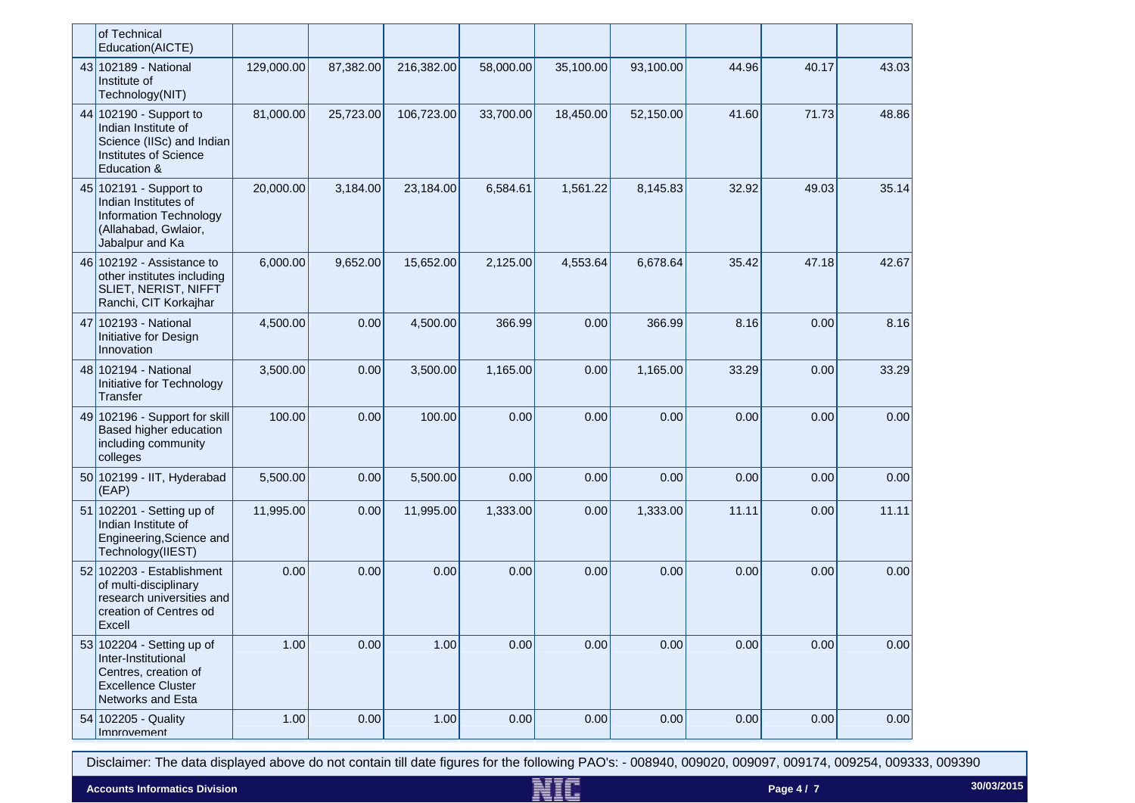| of Technical<br>Education(AICTE)                                                                                           |            |           |            |           |           |           |       |       |       |
|----------------------------------------------------------------------------------------------------------------------------|------------|-----------|------------|-----------|-----------|-----------|-------|-------|-------|
| 43 102189 - National<br>Institute of<br>Technology(NIT)                                                                    | 129,000.00 | 87,382.00 | 216,382.00 | 58,000.00 | 35,100.00 | 93,100.00 | 44.96 | 40.17 | 43.03 |
| 44 102190 - Support to<br>Indian Institute of<br>Science (IISc) and Indian<br>Institutes of Science<br>Education &         | 81,000.00  | 25,723.00 | 106,723.00 | 33,700.00 | 18,450.00 | 52,150.00 | 41.60 | 71.73 | 48.86 |
| 45 102191 - Support to<br>Indian Institutes of<br>Information Technology<br>(Allahabad, Gwlaior,<br>Jabalpur and Ka        | 20,000.00  | 3,184.00  | 23,184.00  | 6,584.61  | 1,561.22  | 8,145.83  | 32.92 | 49.03 | 35.14 |
| 46 102192 - Assistance to<br>other institutes including<br>SLIET, NERIST, NIFFT<br>Ranchi, CIT Korkajhar                   | 6,000.00   | 9,652.00  | 15,652.00  | 2,125.00  | 4,553.64  | 6,678.64  | 35.42 | 47.18 | 42.67 |
| 47 102193 - National<br>Initiative for Design<br>Innovation                                                                | 4,500.00   | 0.00      | 4,500.00   | 366.99    | 0.00      | 366.99    | 8.16  | 0.00  | 8.16  |
| 48 102194 - National<br>Initiative for Technology<br><b>Transfer</b>                                                       | 3,500.00   | 0.00      | 3,500.00   | 1,165.00  | 0.00      | 1,165.00  | 33.29 | 0.00  | 33.29 |
| 49 102196 - Support for skill<br>Based higher education<br>including community<br>colleges                                 | 100.00     | 0.00      | 100.00     | 0.00      | 0.00      | 0.00      | 0.00  | 0.00  | 0.00  |
| 50 102199 - IIT, Hyderabad<br>(EAP)                                                                                        | 5,500.00   | 0.00      | 5,500.00   | 0.00      | 0.00      | 0.00      | 0.00  | 0.00  | 0.00  |
| 51 102201 - Setting up of<br>Indian Institute of<br>Engineering, Science and<br>Technology(IIEST)                          | 11,995.00  | 0.00      | 11,995.00  | 1,333.00  | 0.00      | 1,333.00  | 11.11 | 0.00  | 11.11 |
| $52 102203 - Establishment$<br>of multi-disciplinary<br>research universities and<br>creation of Centres od<br>Excell      | 0.00       | 0.00      | 0.00       | 0.00      | 0.00      | 0.00      | 0.00  | 0.00  | 0.00  |
| 53 102204 - Setting up of<br>Inter-Institutional<br>Centres, creation of<br><b>Excellence Cluster</b><br>Networks and Esta | 1.00       | 0.00      | 1.00       | 0.00      | 0.00      | 0.00      | 0.00  | 0.00  | 0.00  |
| 54 102205 - Quality<br>Improvement                                                                                         | 1.00       | 0.00      | 1.00       | 0.00      | 0.00      | 0.00      | 0.00  | 0.00  | 0.00  |

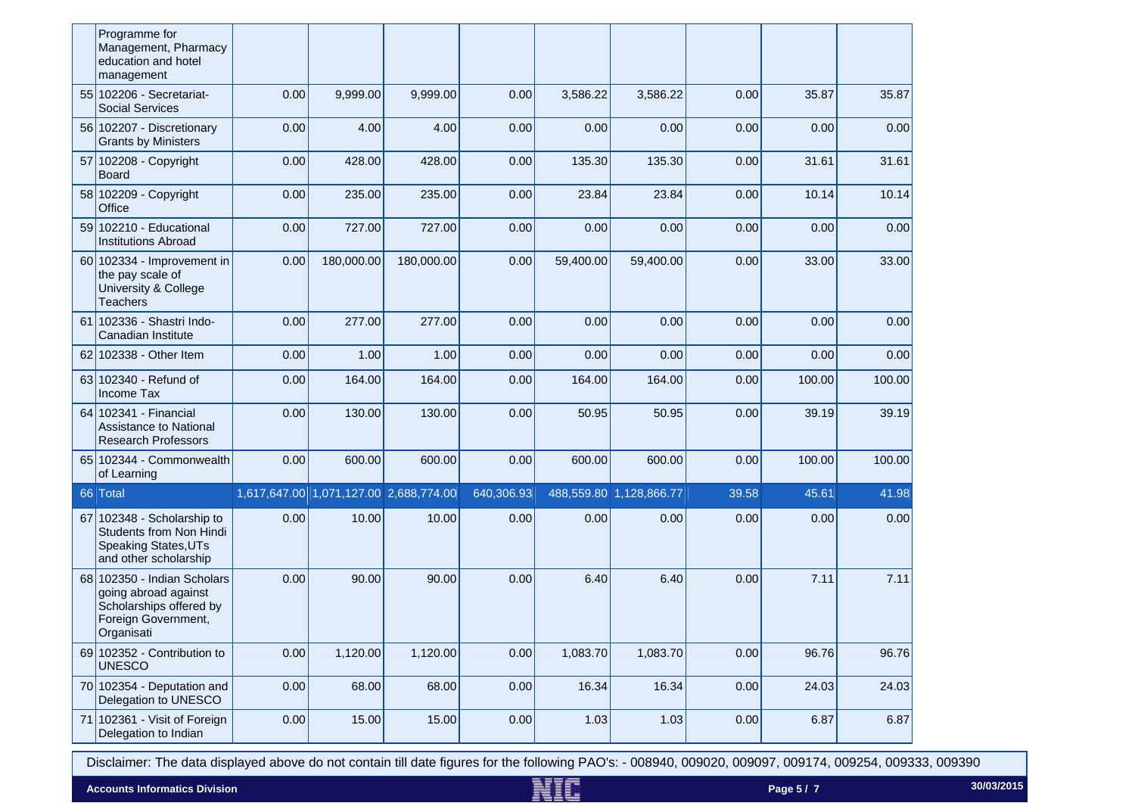|    | Programme for                                                                                                       |      |                                        |            |            |           |                         |       |        |        |
|----|---------------------------------------------------------------------------------------------------------------------|------|----------------------------------------|------------|------------|-----------|-------------------------|-------|--------|--------|
|    | Management, Pharmacy<br>education and hotel<br>management                                                           |      |                                        |            |            |           |                         |       |        |        |
|    | 55 102206 - Secretariat-<br><b>Social Services</b>                                                                  | 0.00 | 9,999.00                               | 9,999.00   | 0.00       | 3,586.22  | 3,586.22                | 0.00  | 35.87  | 35.87  |
|    | 56 102207 - Discretionary<br><b>Grants by Ministers</b>                                                             | 0.00 | 4.00                                   | 4.00       | 0.00       | 0.00      | 0.00                    | 0.00  | 0.00   | 0.00   |
|    | 57 102208 - Copyright<br><b>Board</b>                                                                               | 0.00 | 428.00                                 | 428.00     | 0.00       | 135.30    | 135.30                  | 0.00  | 31.61  | 31.61  |
|    | 58 102209 - Copyright<br>Office                                                                                     | 0.00 | 235.00                                 | 235.00     | 0.00       | 23.84     | 23.84                   | 0.00  | 10.14  | 10.14  |
|    | 59 102210 - Educational<br><b>Institutions Abroad</b>                                                               | 0.00 | 727.00                                 | 727.00     | 0.00       | 0.00      | 0.00                    | 0.00  | 0.00   | 0.00   |
|    | 60 102334 - Improvement in<br>the pay scale of<br><b>University &amp; College</b><br><b>Teachers</b>                | 0.00 | 180,000.00                             | 180,000.00 | 0.00       | 59,400.00 | 59,400.00               | 0.00  | 33.00  | 33.00  |
|    | 61 102336 - Shastri Indo-<br>Canadian Institute                                                                     | 0.00 | 277.00                                 | 277.00     | 0.00       | 0.00      | 0.00                    | 0.00  | 0.00   | 0.00   |
|    | 62 102338 - Other Item                                                                                              | 0.00 | 1.00                                   | 1.00       | 0.00       | 0.00      | 0.00                    | 0.00  | 0.00   | 0.00   |
|    | 63 102340 - Refund of<br><b>Income Tax</b>                                                                          | 0.00 | 164.00                                 | 164.00     | 0.00       | 164.00    | 164.00                  | 0.00  | 100.00 | 100.00 |
|    | 64 102341 - Financial<br>Assistance to National<br><b>Research Professors</b>                                       | 0.00 | 130.00                                 | 130.00     | 0.00       | 50.95     | 50.95                   | 0.00  | 39.19  | 39.19  |
|    | 65 102344 - Commonwealth<br>of Learning                                                                             | 0.00 | 600.00                                 | 600.00     | 0.00       | 600.00    | 600.00                  | 0.00  | 100.00 | 100.00 |
|    | 66 Total                                                                                                            |      | 1,617,647.00 1,071,127.00 2,688,774.00 |            | 640,306.93 |           | 488,559.80 1,128,866.77 | 39.58 | 45.61  | 41.98  |
| 67 | 102348 - Scholarship to<br>Students from Non Hindi<br><b>Speaking States, UTs</b><br>and other scholarship          | 0.00 | 10.00                                  | 10.00      | 0.00       | 0.00      | 0.00                    | 0.00  | 0.00   | 0.00   |
|    | 68 102350 - Indian Scholars<br>going abroad against<br>Scholarships offered by<br>Foreign Government,<br>Organisati | 0.00 | 90.00                                  | 90.00      | 0.00       | 6.40      | 6.40                    | 0.00  | 7.11   | 7.11   |
|    | 69 102352 - Contribution to<br><b>UNESCO</b>                                                                        | 0.00 | 1,120.00                               | 1,120.00   | 0.00       | 1,083.70  | 1,083.70                | 0.00  | 96.76  | 96.76  |
|    | $70$ 102354 - Deputation and<br>Delegation to UNESCO                                                                | 0.00 | 68.00                                  | 68.00      | 0.00       | 16.34     | 16.34                   | 0.00  | 24.03  | 24.03  |
|    | 71 102361 - Visit of Foreign<br>Delegation to Indian                                                                | 0.00 | 15.00                                  | 15.00      | 0.00       | 1.03      | 1.03                    | 0.00  | 6.87   | 6.87   |

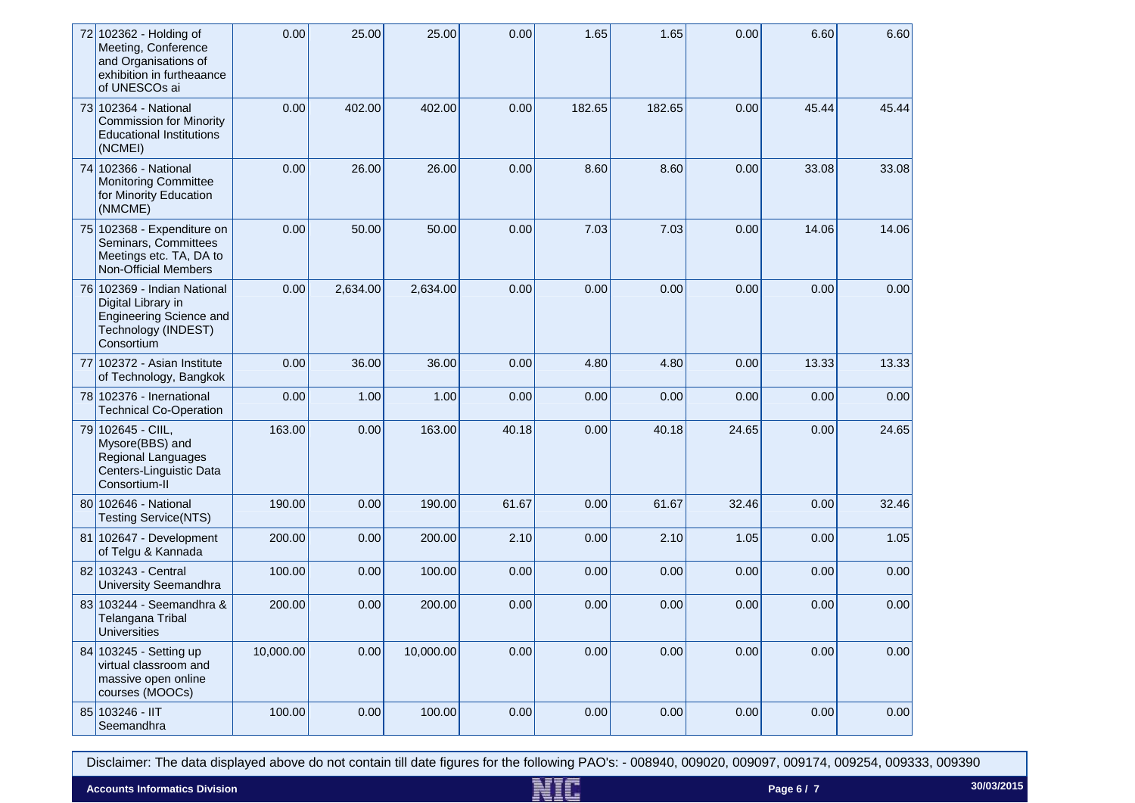| 72 102362 - Holding of<br>Meeting, Conference<br>and Organisations of<br>exhibition in furtheaance<br>of UNESCOs ai      | 0.00      | 25.00    | 25.00     | 0.00  | 1.65   | 1.65   | 0.00  | 6.60  | 6.60  |
|--------------------------------------------------------------------------------------------------------------------------|-----------|----------|-----------|-------|--------|--------|-------|-------|-------|
| 73 102364 - National<br><b>Commission for Minority</b><br><b>Educational Institutions</b><br>(NCMEI)                     | 0.00      | 402.00   | 402.00    | 0.00  | 182.65 | 182.65 | 0.00  | 45.44 | 45.44 |
| 74 102366 - National<br><b>Monitoring Committee</b><br>for Minority Education<br>(NMCME)                                 | 0.00      | 26.00    | 26.00     | 0.00  | 8.60   | 8.60   | 0.00  | 33.08 | 33.08 |
| 75 102368 - Expenditure on<br>Seminars, Committees<br>Meetings etc. TA, DA to<br><b>Non-Official Members</b>             | 0.00      | 50.00    | 50.00     | 0.00  | 7.03   | 7.03   | 0.00  | 14.06 | 14.06 |
| 76 102369 - Indian National<br>Digital Library in<br><b>Engineering Science and</b><br>Technology (INDEST)<br>Consortium | 0.00      | 2,634.00 | 2,634.00  | 0.00  | 0.00   | 0.00   | 0.00  | 0.00  | 0.00  |
| 77 102372 - Asian Institute<br>of Technology, Bangkok                                                                    | 0.00      | 36.00    | 36.00     | 0.00  | 4.80   | 4.80   | 0.00  | 13.33 | 13.33 |
| 78 102376 - Inernational<br><b>Technical Co-Operation</b>                                                                | 0.00      | 1.00     | 1.00      | 0.00  | 0.00   | 0.00   | 0.00  | 0.00  | 0.00  |
| 79 102645 - CIIL,<br>Mysore(BBS) and<br>Regional Languages<br>Centers-Linguistic Data<br>Consortium-II                   | 163.00    | 0.00     | 163.00    | 40.18 | 0.00   | 40.18  | 24.65 | 0.00  | 24.65 |
| 80 102646 - National<br><b>Testing Service(NTS)</b>                                                                      | 190.00    | 0.00     | 190.00    | 61.67 | 0.00   | 61.67  | 32.46 | 0.00  | 32.46 |
| 81 102647 - Development<br>of Telgu & Kannada                                                                            | 200.00    | 0.00     | 200.00    | 2.10  | 0.00   | 2.10   | 1.05  | 0.00  | 1.05  |
| 82 103243 - Central<br><b>University Seemandhra</b>                                                                      | 100.00    | 0.00     | 100.00    | 0.00  | 0.00   | 0.00   | 0.00  | 0.00  | 0.00  |
| 83 103244 - Seemandhra &<br>Telangana Tribal<br>Universities                                                             | 200.00    | 0.00     | 200.00    | 0.00  | 0.00   | 0.00   | 0.00  | 0.00  | 0.00  |
| 84 103245 - Setting up<br>virtual classroom and<br>massive open online<br>courses (MOOCs)                                | 10,000.00 | 0.00     | 10,000.00 | 0.00  | 0.00   | 0.00   | 0.00  | 0.00  | 0.00  |
| 85 103246 - IIT<br>Seemandhra                                                                                            | 100.00    | 0.00     | 100.00    | 0.00  | 0.00   | 0.00   | 0.00  | 0.00  | 0.00  |